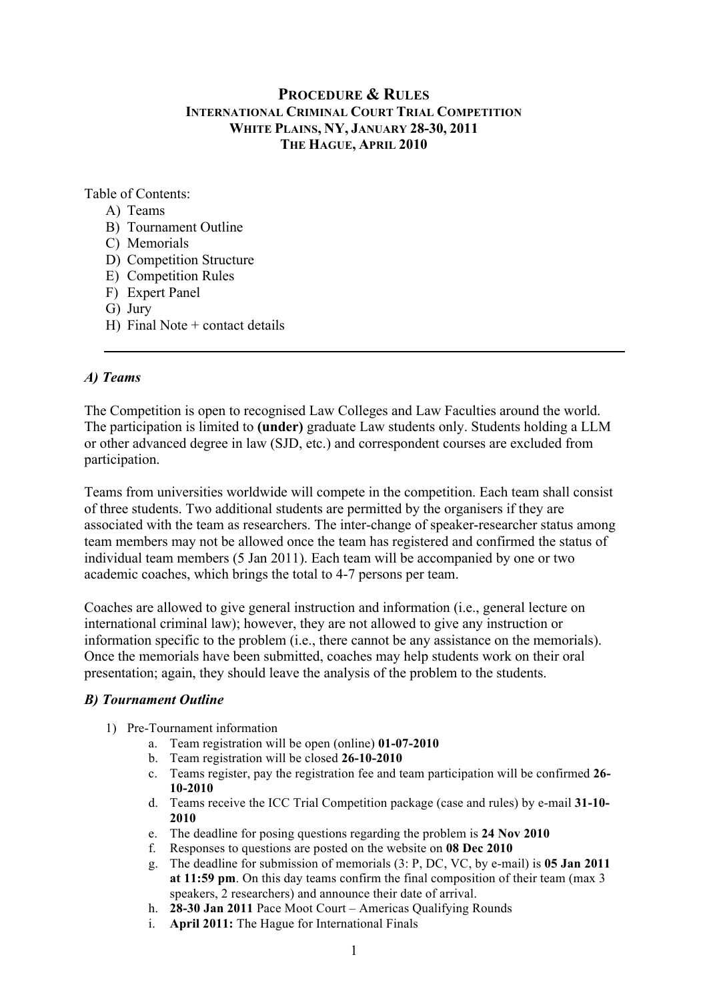## **PROCEDURE & RULES INTERNATIONAL CRIMINAL COURT TRIAL COMPETITION WHITE PLAINS, NY, JANUARY 28-30, 2011 THE HAGUE, APRIL 2010**

Table of Contents:

- A) Teams
- B) Tournament Outline
- C) Memorials
- D) Competition Structure
- E) Competition Rules
- F) Expert Panel
- G) Jury
- H) Final Note + contact details

#### *A) Teams*

The Competition is open to recognised Law Colleges and Law Faculties around the world. The participation is limited to **(under)** graduate Law students only. Students holding a LLM or other advanced degree in law (SJD, etc.) and correspondent courses are excluded from participation.

Teams from universities worldwide will compete in the competition. Each team shall consist of three students. Two additional students are permitted by the organisers if they are associated with the team as researchers. The inter-change of speaker-researcher status among team members may not be allowed once the team has registered and confirmed the status of individual team members (5 Jan 2011). Each team will be accompanied by one or two academic coaches, which brings the total to 4-7 persons per team.

Coaches are allowed to give general instruction and information (i.e., general lecture on international criminal law); however, they are not allowed to give any instruction or information specific to the problem (i.e., there cannot be any assistance on the memorials). Once the memorials have been submitted, coaches may help students work on their oral presentation; again, they should leave the analysis of the problem to the students.

#### *B) Tournament Outline*

- 1) Pre-Tournament information
	- a. Team registration will be open (online) **01-07-2010**
	- b. Team registration will be closed **26-10-2010**
	- c. Teams register, pay the registration fee and team participation will be confirmed **26- 10-2010**
	- d. Teams receive the ICC Trial Competition package (case and rules) by e-mail **31-10- 2010**
	- e. The deadline for posing questions regarding the problem is **24 Nov 2010**
	- f. Responses to questions are posted on the website on **08 Dec 2010**
	- g. The deadline for submission of memorials (3: P, DC, VC, by e-mail) is **05 Jan 2011 at 11:59 pm**. On this day teams confirm the final composition of their team (max 3 speakers, 2 researchers) and announce their date of arrival.
	- h. **28-30 Jan 2011** Pace Moot Court Americas Qualifying Rounds
	- i. **April 2011:** The Hague for International Finals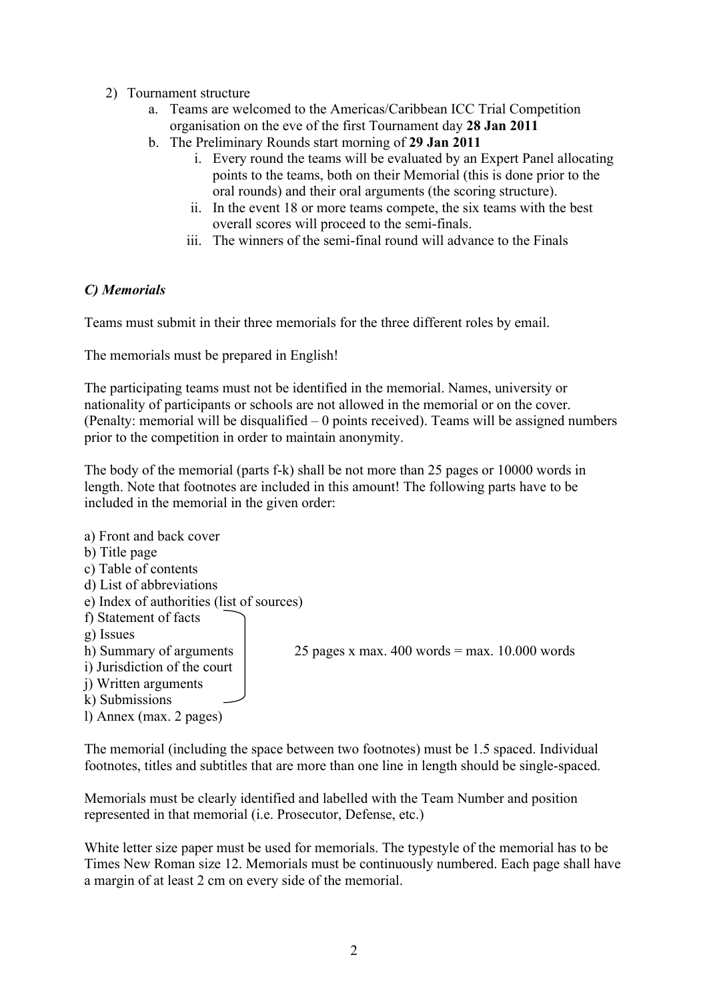#### 2) Tournament structure

- a. Teams are welcomed to the Americas/Caribbean ICC Trial Competition organisation on the eve of the first Tournament day **28 Jan 2011**
- b. The Preliminary Rounds start morning of **29 Jan 2011**
	- i. Every round the teams will be evaluated by an Expert Panel allocating points to the teams, both on their Memorial (this is done prior to the oral rounds) and their oral arguments (the scoring structure).
	- ii. In the event 18 or more teams compete, the six teams with the best overall scores will proceed to the semi-finals.
	- iii. The winners of the semi-final round will advance to the Finals

## *C) Memorials*

Teams must submit in their three memorials for the three different roles by email.

The memorials must be prepared in English!

The participating teams must not be identified in the memorial. Names, university or nationality of participants or schools are not allowed in the memorial or on the cover. (Penalty: memorial will be disqualified – 0 points received). Teams will be assigned numbers prior to the competition in order to maintain anonymity.

The body of the memorial (parts f-k) shall be not more than 25 pages or 10000 words in length. Note that footnotes are included in this amount! The following parts have to be included in the memorial in the given order:

a) Front and back cover b) Title page c) Table of contents d) List of abbreviations e) Index of authorities (list of sources) f) Statement of facts g) Issues h) Summary of arguments  $\vert$  25 pages x max. 400 words = max. 10.000 words i) Jurisdiction of the court j) Written arguments k) Submissions l) Annex (max. 2 pages)

The memorial (including the space between two footnotes) must be 1.5 spaced. Individual footnotes, titles and subtitles that are more than one line in length should be single-spaced.

Memorials must be clearly identified and labelled with the Team Number and position represented in that memorial (i.e. Prosecutor, Defense, etc.)

White letter size paper must be used for memorials. The typestyle of the memorial has to be Times New Roman size 12. Memorials must be continuously numbered. Each page shall have a margin of at least 2 cm on every side of the memorial.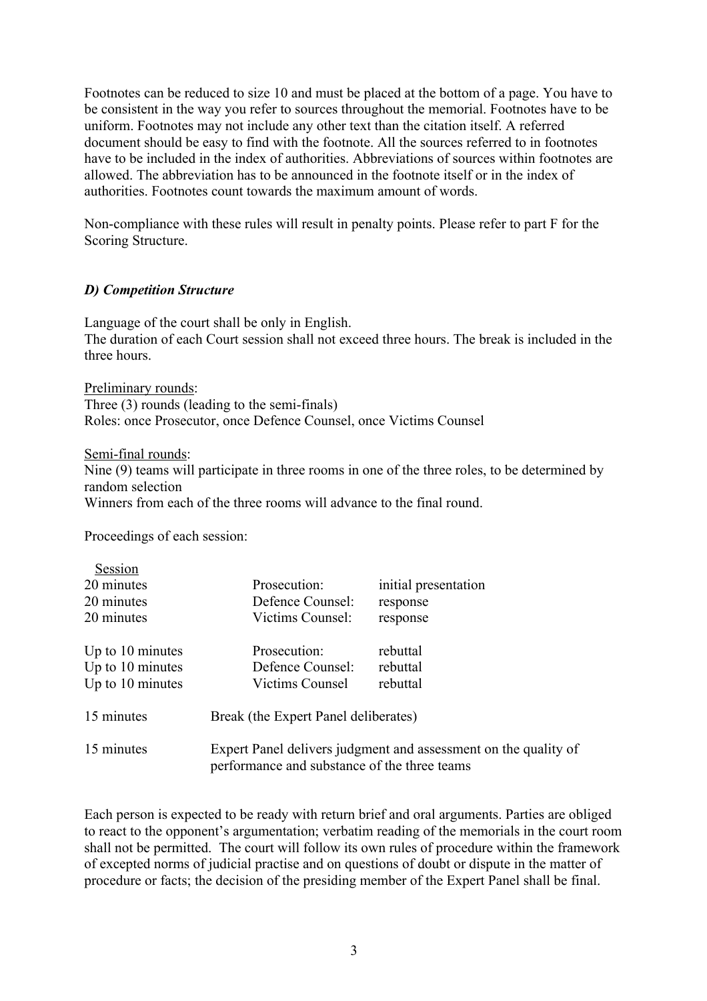Footnotes can be reduced to size 10 and must be placed at the bottom of a page. You have to be consistent in the way you refer to sources throughout the memorial. Footnotes have to be uniform. Footnotes may not include any other text than the citation itself. A referred document should be easy to find with the footnote. All the sources referred to in footnotes have to be included in the index of authorities. Abbreviations of sources within footnotes are allowed. The abbreviation has to be announced in the footnote itself or in the index of authorities. Footnotes count towards the maximum amount of words.

Non-compliance with these rules will result in penalty points. Please refer to part F for the Scoring Structure.

## *D) Competition Structure*

Language of the court shall be only in English. The duration of each Court session shall not exceed three hours. The break is included in the three hours.

Preliminary rounds: Three (3) rounds (leading to the semi-finals) Roles: once Prosecutor, once Defence Counsel, once Victims Counsel

Semi-final rounds:

Session

Nine (9) teams will participate in three rooms in one of the three roles, to be determined by random selection

Winners from each of the three rooms will advance to the final round.

Proceedings of each session:

| Session          |                                                                                                                 |                      |  |
|------------------|-----------------------------------------------------------------------------------------------------------------|----------------------|--|
| 20 minutes       | Prosecution:                                                                                                    | initial presentation |  |
| 20 minutes       | Defence Counsel:                                                                                                | response             |  |
| 20 minutes       | Victims Counsel:                                                                                                | response             |  |
| Up to 10 minutes | Prosecution:                                                                                                    | rebuttal             |  |
| Up to 10 minutes | Defence Counsel:                                                                                                | rebuttal             |  |
| Up to 10 minutes | <b>Victims Counsel</b>                                                                                          | rebuttal             |  |
| 15 minutes       | Break (the Expert Panel deliberates)                                                                            |                      |  |
| 15 minutes       | Expert Panel delivers judgment and assessment on the quality of<br>performance and substance of the three teams |                      |  |

Each person is expected to be ready with return brief and oral arguments. Parties are obliged to react to the opponent's argumentation; verbatim reading of the memorials in the court room shall not be permitted. The court will follow its own rules of procedure within the framework of excepted norms of judicial practise and on questions of doubt or dispute in the matter of procedure or facts; the decision of the presiding member of the Expert Panel shall be final.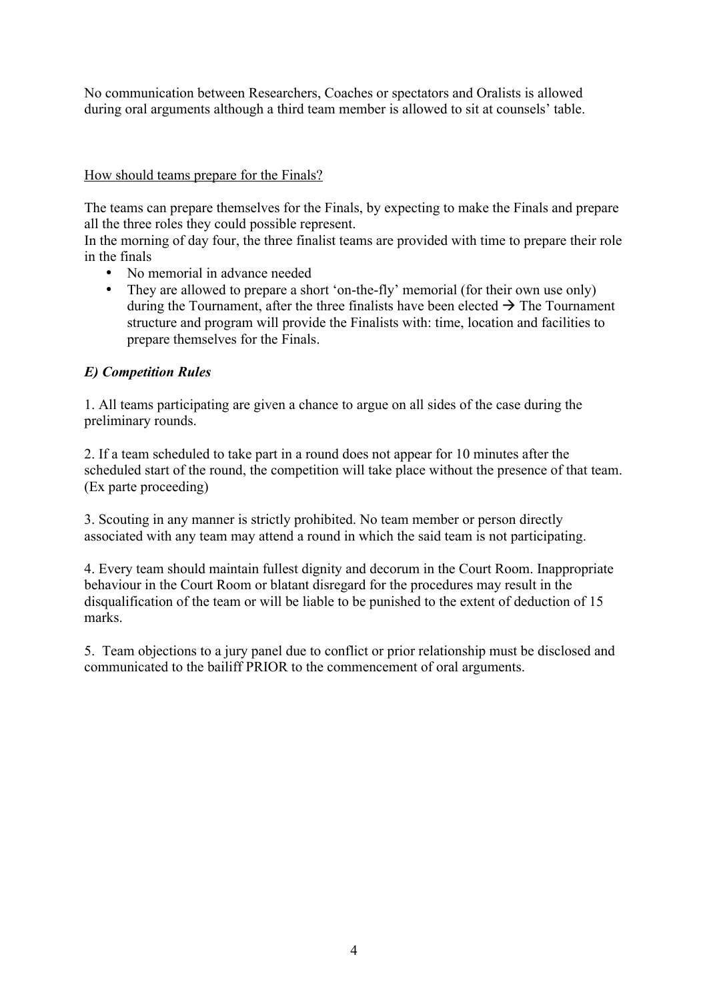No communication between Researchers, Coaches or spectators and Oralists is allowed during oral arguments although a third team member is allowed to sit at counsels' table.

## How should teams prepare for the Finals?

The teams can prepare themselves for the Finals, by expecting to make the Finals and prepare all the three roles they could possible represent.

In the morning of day four, the three finalist teams are provided with time to prepare their role in the finals

- No memorial in advance needed
- They are allowed to prepare a short 'on-the-fly' memorial (for their own use only) during the Tournament, after the three finalists have been elected  $\rightarrow$  The Tournament structure and program will provide the Finalists with: time, location and facilities to prepare themselves for the Finals.

# *E) Competition Rules*

1. All teams participating are given a chance to argue on all sides of the case during the preliminary rounds.

2. If a team scheduled to take part in a round does not appear for 10 minutes after the scheduled start of the round, the competition will take place without the presence of that team. (Ex parte proceeding)

3. Scouting in any manner is strictly prohibited. No team member or person directly associated with any team may attend a round in which the said team is not participating.

4. Every team should maintain fullest dignity and decorum in the Court Room. Inappropriate behaviour in the Court Room or blatant disregard for the procedures may result in the disqualification of the team or will be liable to be punished to the extent of deduction of 15 marks.

5. Team objections to a jury panel due to conflict or prior relationship must be disclosed and communicated to the bailiff PRIOR to the commencement of oral arguments.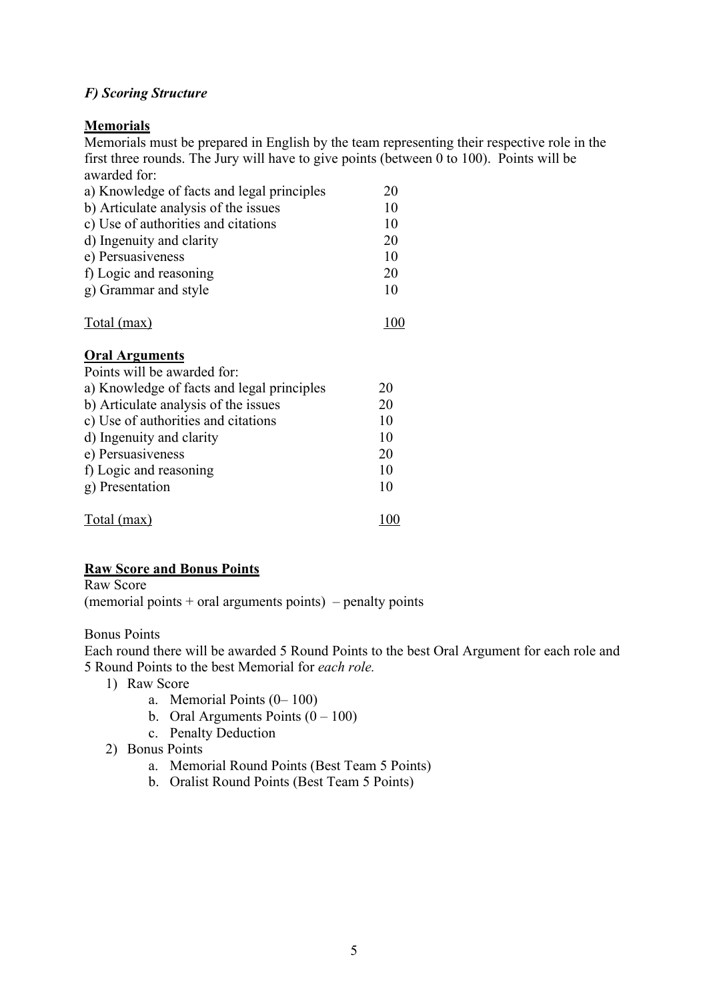# *F) Scoring Structure*

## **Memorials**

Memorials must be prepared in English by the team representing their respective role in the first three rounds. The Jury will have to give points (between 0 to 100). Points will be awarded for:

| a) Knowledge of facts and legal principles<br>b) Articulate analysis of the issues<br>c) Use of authorities and citations<br>d) Ingenuity and clarity<br>e) Persuasiveness | 20<br>10<br>10<br>20<br>10 |
|----------------------------------------------------------------------------------------------------------------------------------------------------------------------------|----------------------------|
| f) Logic and reasoning<br>g) Grammar and style                                                                                                                             | 20<br>10                   |
| Total (max)                                                                                                                                                                | 100                        |
| <b>Oral Arguments</b>                                                                                                                                                      |                            |
| Points will be awarded for:                                                                                                                                                |                            |
| a) Knowledge of facts and legal principles                                                                                                                                 | 20                         |
| b) Articulate analysis of the issues                                                                                                                                       | 20                         |
| c) Use of authorities and citations                                                                                                                                        | 10                         |
| d) Ingenuity and clarity                                                                                                                                                   | 10                         |
| e) Persuasiveness                                                                                                                                                          | 20                         |
| f) Logic and reasoning                                                                                                                                                     | 10                         |
| g) Presentation                                                                                                                                                            | 10                         |
| <u>Total</u> (max)                                                                                                                                                         | 100                        |

## **Raw Score and Bonus Points**

Raw Score (memorial points  $+$  oral arguments points)  $-$  penalty points

#### Bonus Points

Each round there will be awarded 5 Round Points to the best Oral Argument for each role and 5 Round Points to the best Memorial for *each role.*

- 1) Raw Score
	- a. Memorial Points (0– 100)
	- b. Oral Arguments Points  $(0 100)$
	- c. Penalty Deduction
- 2) Bonus Points
	- a. Memorial Round Points (Best Team 5 Points)
	- b. Oralist Round Points (Best Team 5 Points)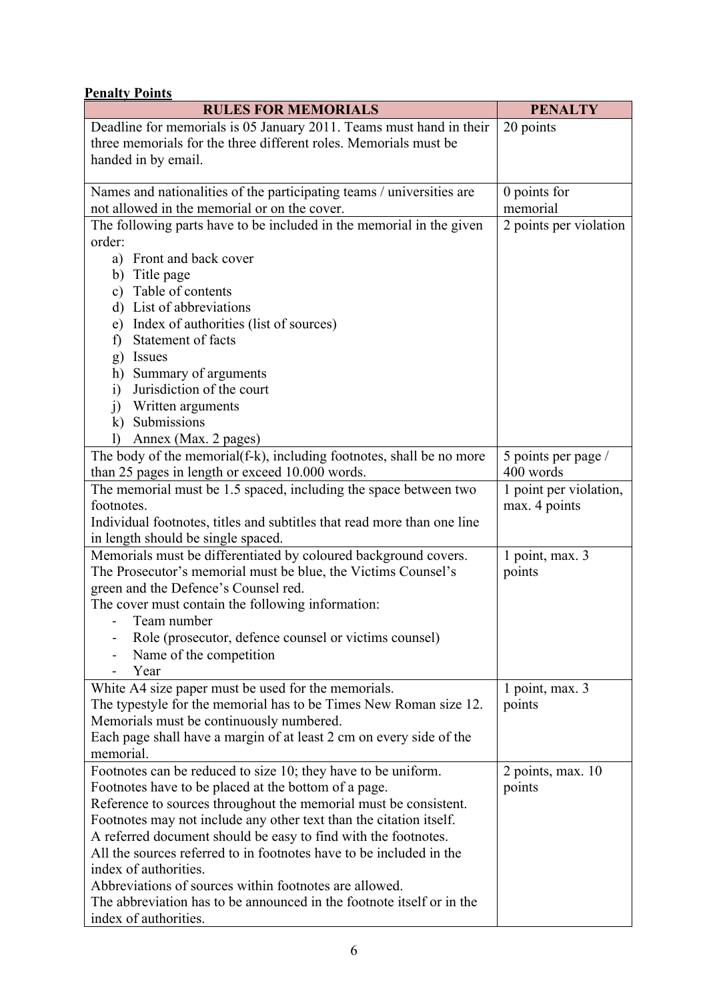# **Penalty Points**

| <b>RULES FOR MEMORIALS</b>                                              | <b>PENALTY</b>         |
|-------------------------------------------------------------------------|------------------------|
| Deadline for memorials is 05 January 2011. Teams must hand in their     | 20 points              |
| three memorials for the three different roles. Memorials must be        |                        |
| handed in by email.                                                     |                        |
|                                                                         |                        |
| Names and nationalities of the participating teams / universities are   | 0 points for           |
| not allowed in the memorial or on the cover.                            | memorial               |
| The following parts have to be included in the memorial in the given    | 2 points per violation |
| order:                                                                  |                        |
| a) Front and back cover                                                 |                        |
| b) Title page                                                           |                        |
| c) Table of contents                                                    |                        |
| d) List of abbreviations                                                |                        |
| Index of authorities (list of sources)<br>e)                            |                        |
| Statement of facts<br>f)                                                |                        |
| g) Issues                                                               |                        |
| Summary of arguments<br>h)                                              |                        |
| Jurisdiction of the court<br>$\ddot{1}$                                 |                        |
| i) Written arguments                                                    |                        |
| k) Submissions                                                          |                        |
| Annex (Max. 2 pages)<br>$\mathbf{I}$                                    |                        |
| The body of the memorial(f-k), including footnotes, shall be no more    | 5 points per page /    |
| than 25 pages in length or exceed 10.000 words.                         | 400 words              |
| The memorial must be 1.5 spaced, including the space between two        | 1 point per violation, |
| footnotes.                                                              | max. 4 points          |
| Individual footnotes, titles and subtitles that read more than one line |                        |
| in length should be single spaced.                                      |                        |
| Memorials must be differentiated by coloured background covers.         | 1 point, max. 3        |
| The Prosecutor's memorial must be blue, the Victims Counsel's           | points                 |
| green and the Defence's Counsel red.                                    |                        |
| The cover must contain the following information:<br>Team number        |                        |
| Role (prosecutor, defence counsel or victims counsel)                   |                        |
| Name of the competition                                                 |                        |
| Year                                                                    |                        |
| White A4 size paper must be used for the memorials.                     | 1 point, max. 3        |
| The typestyle for the memorial has to be Times New Roman size 12.       | points                 |
| Memorials must be continuously numbered.                                |                        |
| Each page shall have a margin of at least 2 cm on every side of the     |                        |
| memorial.                                                               |                        |
| Footnotes can be reduced to size 10; they have to be uniform.           | 2 points, max. 10      |
| Footnotes have to be placed at the bottom of a page.                    | points                 |
| Reference to sources throughout the memorial must be consistent.        |                        |
| Footnotes may not include any other text than the citation itself.      |                        |
| A referred document should be easy to find with the footnotes.          |                        |
| All the sources referred to in footnotes have to be included in the     |                        |
| index of authorities.                                                   |                        |
| Abbreviations of sources within footnotes are allowed.                  |                        |
| The abbreviation has to be announced in the footnote itself or in the   |                        |
| index of authorities.                                                   |                        |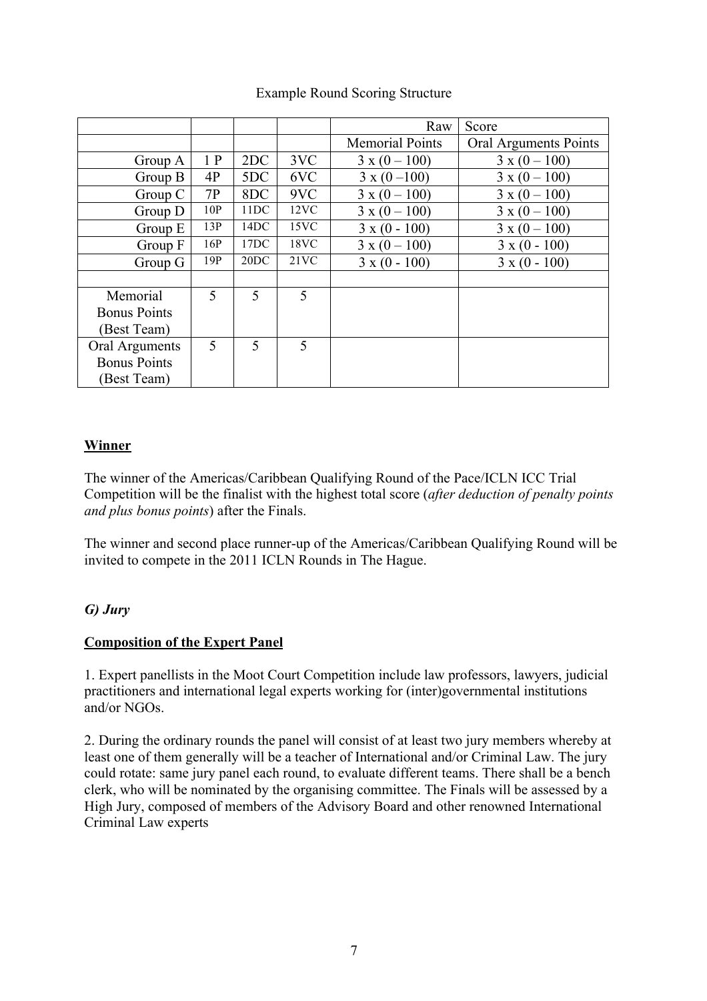|  |  |  | <b>Example Round Scoring Structure</b> |
|--|--|--|----------------------------------------|
|--|--|--|----------------------------------------|

|                     |     |      |      | Raw                    | Score                 |
|---------------------|-----|------|------|------------------------|-----------------------|
|                     |     |      |      | <b>Memorial Points</b> | Oral Arguments Points |
| Group A             | 1P  | 2DC  | 3VC  | $3 x (0 - 100)$        | $3 x (0 - 100)$       |
| Group B             | 4P  | 5DC  | 6VC  | $3 \times (0 - 100)$   | $3 x (0 - 100)$       |
| Group C             | 7P  | 8DC  | 9VC  | $3 x (0 - 100)$        | $3 x (0 - 100)$       |
| Group D             | 10P | 11DC | 12VC | $3 x (0 - 100)$        | $3 x (0 - 100)$       |
| Group $E$           | 13P | 14DC | 15VC | $3 \times (0 - 100)$   | $3 x (0 - 100)$       |
| Group F             | 16P | 17DC | 18VC | $3 x (0 - 100)$        | $3 x (0 - 100)$       |
| Group G             | 19P | 20DC | 21VC | $3 \times (0 - 100)$   | $3 \times (0 - 100)$  |
|                     |     |      |      |                        |                       |
| Memorial            | 5   | 5    | 5    |                        |                       |
| <b>Bonus Points</b> |     |      |      |                        |                       |
| (Best Team)         |     |      |      |                        |                       |
| Oral Arguments      | 5   | 5    | 5    |                        |                       |
| <b>Bonus Points</b> |     |      |      |                        |                       |
| (Best Team)         |     |      |      |                        |                       |

## **Winner**

The winner of the Americas/Caribbean Qualifying Round of the Pace/ICLN ICC Trial Competition will be the finalist with the highest total score (*after deduction of penalty points and plus bonus points*) after the Finals.

The winner and second place runner-up of the Americas/Caribbean Qualifying Round will be invited to compete in the 2011 ICLN Rounds in The Hague.

## *G) Jury*

## **Composition of the Expert Panel**

1. Expert panellists in the Moot Court Competition include law professors, lawyers, judicial practitioners and international legal experts working for (inter)governmental institutions and/or NGOs.

2. During the ordinary rounds the panel will consist of at least two jury members whereby at least one of them generally will be a teacher of International and/or Criminal Law. The jury could rotate: same jury panel each round, to evaluate different teams. There shall be a bench clerk, who will be nominated by the organising committee. The Finals will be assessed by a High Jury, composed of members of the Advisory Board and other renowned International Criminal Law experts